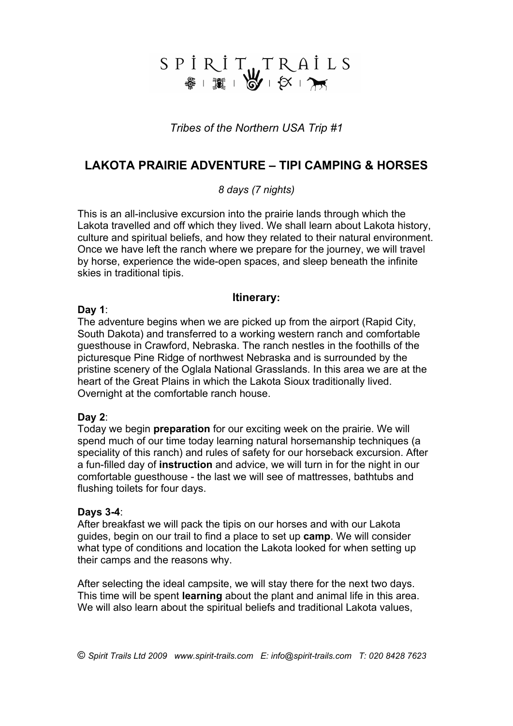# SPİRİTUTRAİLS

*Tribes of the Northern USA Trip #1*

# **LAKOTA PRAIRIE ADVENTURE – TIPI CAMPING & HORSES**

## *8 days (7 nights)*

This is an all-inclusive excursion into the prairie lands through which the Lakota travelled and off which they lived. We shall learn about Lakota history, culture and spiritual beliefs, and how they related to their natural environment. Once we have left the ranch where we prepare for the journey, we will travel by horse, experience the wide-open spaces, and sleep beneath the infinite skies in traditional tipis.

### **Itinerary:**

#### **Day 1**:

The adventure begins when we are picked up from the airport (Rapid City, South Dakota) and transferred to a working western ranch and comfortable guesthouse in Crawford, Nebraska. The ranch nestles in the foothills of the picturesque Pine Ridge of northwest Nebraska and is surrounded by the pristine scenery of the Oglala National Grasslands. In this area we are at the heart of the Great Plains in which the Lakota Sioux traditionally lived. Overnight at the comfortable ranch house.

#### **Day 2**:

Today we begin **preparation** for our exciting week on the prairie. We will spend much of our time today learning natural horsemanship techniques (a speciality of this ranch) and rules of safety for our horseback excursion. After a fun-filled day of **instruction** and advice, we will turn in for the night in our comfortable guesthouse - the last we will see of mattresses, bathtubs and flushing toilets for four days.

#### **Days 3-4**:

After breakfast we will pack the tipis on our horses and with our Lakota guides, begin on our trail to find a place to set up **camp**. We will consider what type of conditions and location the Lakota looked for when setting up their camps and the reasons why.

After selecting the ideal campsite, we will stay there for the next two days. This time will be spent **learning** about the plant and animal life in this area. We will also learn about the spiritual beliefs and traditional Lakota values,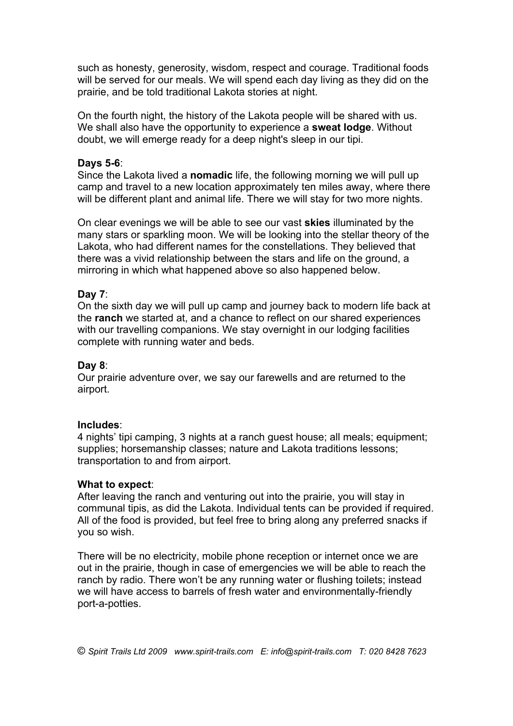such as honesty, generosity, wisdom, respect and courage. Traditional foods will be served for our meals. We will spend each day living as they did on the prairie, and be told traditional Lakota stories at night.

On the fourth night, the history of the Lakota people will be shared with us. We shall also have the opportunity to experience a **sweat lodge**. Without doubt, we will emerge ready for a deep night's sleep in our tipi.

#### **Days 5-6**:

Since the Lakota lived a **nomadic** life, the following morning we will pull up camp and travel to a new location approximately ten miles away, where there will be different plant and animal life. There we will stay for two more nights.

On clear evenings we will be able to see our vast **skies** illuminated by the many stars or sparkling moon. We will be looking into the stellar theory of the Lakota, who had different names for the constellations. They believed that there was a vivid relationship between the stars and life on the ground, a mirroring in which what happened above so also happened below.

#### **Day 7**:

On the sixth day we will pull up camp and journey back to modern life back at the **ranch** we started at, and a chance to reflect on our shared experiences with our travelling companions. We stay overnight in our lodging facilities complete with running water and beds.

#### **Day 8**:

Our prairie adventure over, we say our farewells and are returned to the airport.

#### **Includes**:

4 nights' tipi camping, 3 nights at a ranch guest house; all meals; equipment; supplies; horsemanship classes; nature and Lakota traditions lessons; transportation to and from airport.

#### **What to expect**:

After leaving the ranch and venturing out into the prairie, you will stay in communal tipis, as did the Lakota. Individual tents can be provided if required. All of the food is provided, but feel free to bring along any preferred snacks if you so wish.

There will be no electricity, mobile phone reception or internet once we are out in the prairie, though in case of emergencies we will be able to reach the ranch by radio. There won't be any running water or flushing toilets; instead we will have access to barrels of fresh water and environmentally-friendly port-a-potties.